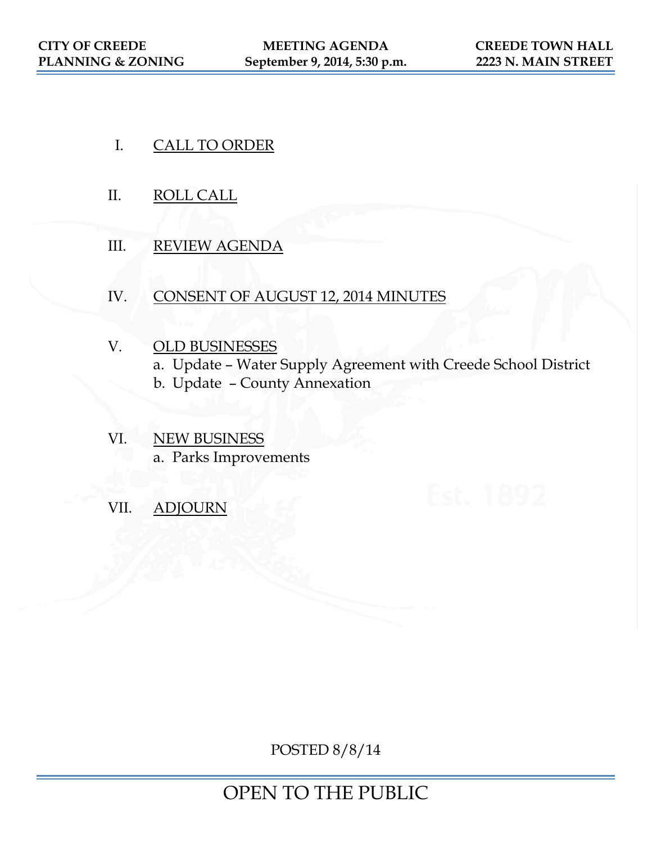- I. CALL TO ORDER
- II. ROLL CALL
- III. REVIEW AGENDA
- IV. CONSENT OF AUGUST 12, 2014 MINUTES
- V. OLD BUSINESSES a. Update – Water Supply Agreement with Creede School District b. Update – County Annexation
- VI. NEW BUSINESS a. Parks Improvements
- VII. ADJOURN

POSTED 8/8/14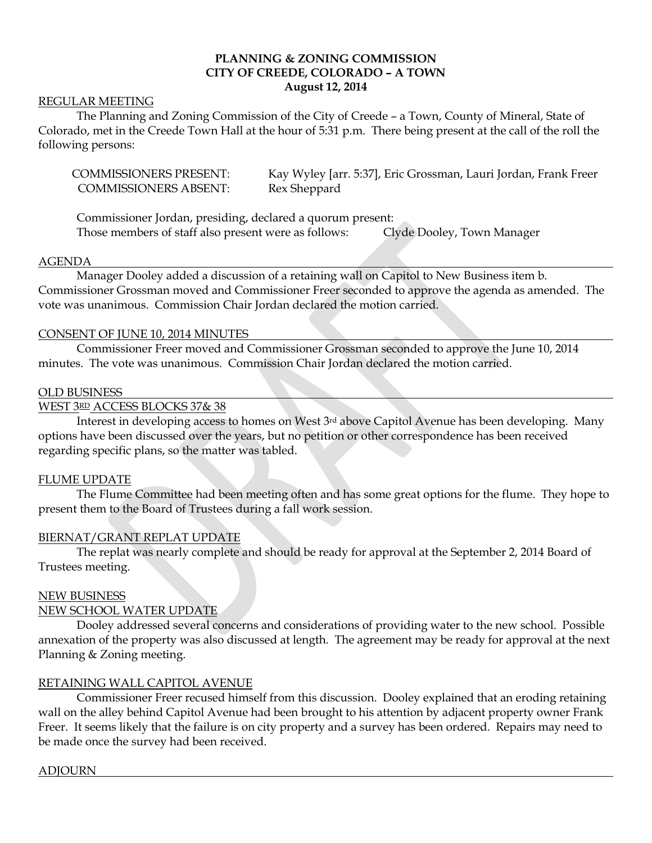# **PLANNING & ZONING COMMISSION CITY OF CREEDE, COLORADO – A TOWN August 12, 2014**

## REGULAR MEETING

The Planning and Zoning Commission of the City of Creede – a Town, County of Mineral, State of Colorado, met in the Creede Town Hall at the hour of 5:31 p.m. There being present at the call of the roll the following persons:

| <b>COMMISSIONERS PRESENT:</b> | Kay Wyley [arr. 5:37], Eric Grossman, Lauri Jordan, Frank Freer |
|-------------------------------|-----------------------------------------------------------------|
| <b>COMMISSIONERS ABSENT:</b>  | Rex Sheppard                                                    |

Commissioner Jordan, presiding, declared a quorum present: Those members of staff also present were as follows: Clyde Dooley, Town Manager

#### AGENDA

Manager Dooley added a discussion of a retaining wall on Capitol to New Business item b. Commissioner Grossman moved and Commissioner Freer seconded to approve the agenda as amended. The vote was unanimous. Commission Chair Jordan declared the motion carried.

## CONSENT OF JUNE 10, 2014 MINUTES

Commissioner Freer moved and Commissioner Grossman seconded to approve the June 10, 2014 minutes. The vote was unanimous. Commission Chair Jordan declared the motion carried.

#### OLD BUSINESS

### WEST 3RD ACCESS BLOCKS 37& 38

Interest in developing access to homes on West 3rd above Capitol Avenue has been developing. Many options have been discussed over the years, but no petition or other correspondence has been received regarding specific plans, so the matter was tabled.

#### FLUME UPDATE

The Flume Committee had been meeting often and has some great options for the flume. They hope to present them to the Board of Trustees during a fall work session.

#### BIERNAT/GRANT REPLAT UPDATE

The replat was nearly complete and should be ready for approval at the September 2, 2014 Board of Trustees meeting.

#### NEW BUSINESS

## NEW SCHOOL WATER UPDATE

Dooley addressed several concerns and considerations of providing water to the new school. Possible annexation of the property was also discussed at length. The agreement may be ready for approval at the next Planning & Zoning meeting.

#### RETAINING WALL CAPITOL AVENUE

Commissioner Freer recused himself from this discussion. Dooley explained that an eroding retaining wall on the alley behind Capitol Avenue had been brought to his attention by adjacent property owner Frank Freer. It seems likely that the failure is on city property and a survey has been ordered. Repairs may need to be made once the survey had been received.

## ADJOURN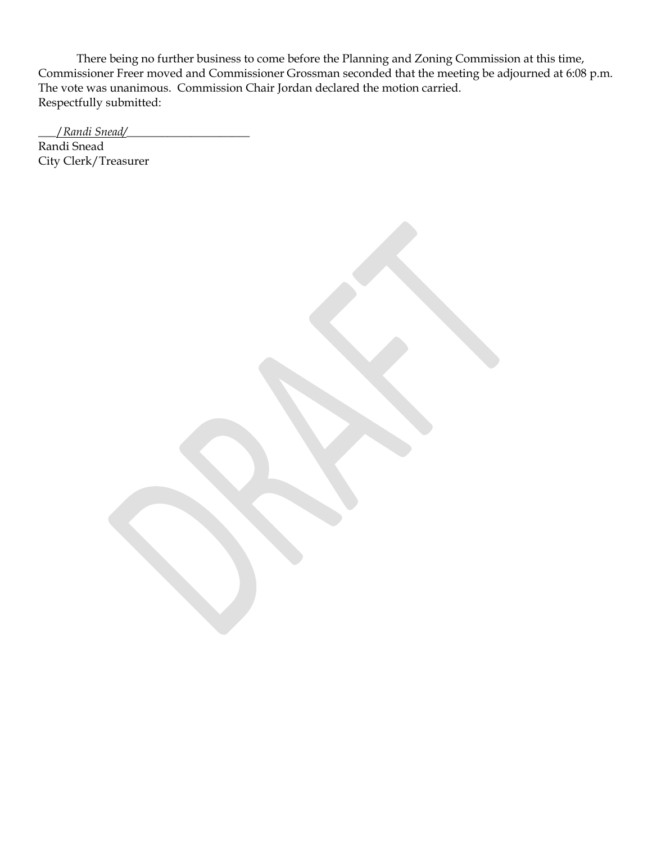There being no further business to come before the Planning and Zoning Commission at this time, Commissioner Freer moved and Commissioner Grossman seconded that the meeting be adjourned at 6:08 p.m. The vote was unanimous. Commission Chair Jordan declared the motion carried. Respectfully submitted:

\_\_\_/*Randi Snead/*\_\_\_\_\_\_\_\_\_\_\_\_\_\_\_\_\_\_\_\_\_ Randi Snead City Clerk/Treasurer